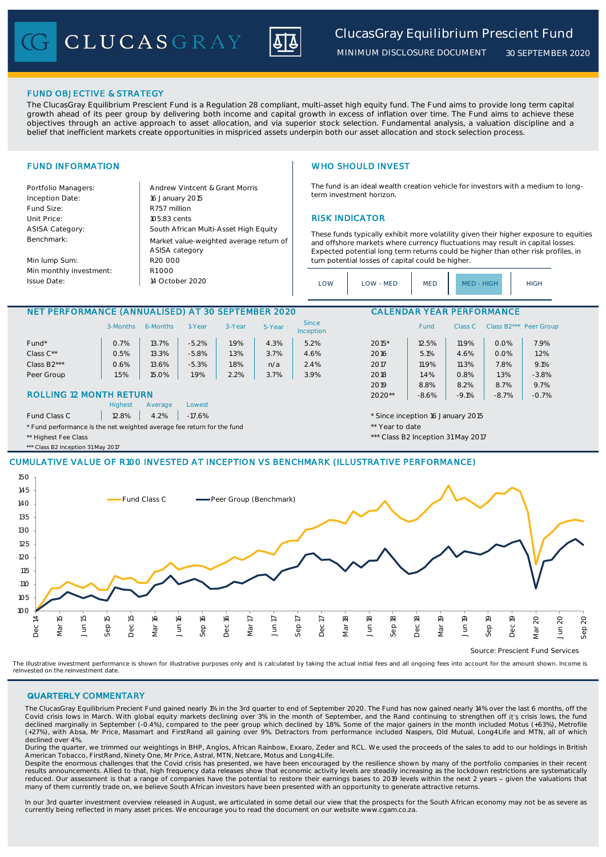**CLUCASGRAY** 



*MINIMUM DISCLOSURE DOCUMENT*

*30 SEPTEMBER 2020*

### FUND OBJECTIVE & STRATEGY

The ClucasGray Equilibrium Prescient Fund is a Regulation 28 compliant, multi-asset high equity fund. The Fund aims to provide long term capital growth ahead of its peer group by delivering both income and capital growth in excess of inflation over time. The Fund aims to achieve these objectives through an active approach to asset allocation, and via superior stock selection. Fundamental analysis, a valuation discipline and a belief that inefficient markets create opportunities in mispriced assets underpin both our asset allocation and stock selection process.

Portfolio Managers: <br>Andrew Vintcent & Grant Morris Inception Date: Fund Size: R757 million ASISA Category: Benchmark:

Min lump Sum: Min monthly investment: Issue Date:

Unit Price: 105.83 cents 105.83 cents 105.83 cents 105.83 cents 105.83 cents 105.83 cents 105.83 cents 105.83 cents 105.83 cents 105.83 cents 105.83 cents 105.83 cents 105.83 cents 105.83 cents 105.83 cents 105.83 cents 10  $R1000$ South African Multi-Asset High Equity 16 January 2015 R20 000 Market value-weighted average return of ASISA category 14 October 2020

# FUND INFORMATION WHO SHOULD INVEST

The fund is an ideal wealth creation vehicle for investors with a medium to longterm investment horizon.

These funds typically exhibit more volatility given their higher exposure to equities and offshore markets where currency fluctuations may result in capital losses. Expected potential long term returns could be higher than other risk profiles, in turn potential losses of capital could be higher.

| LOW | LOW - MED | <b>MED</b> | MED - HIGH | <b>HIGH</b> |
|-----|-----------|------------|------------|-------------|
|-----|-----------|------------|------------|-------------|

### NET PERFORMANCE (ANNUALISED) AT 30 SEPTEMBER 2020 CALENDAR YEAR PERFORMANCE

|                                                                        | 3-Months | 6-Months | 1-Year  | 3-Year                            | 5-Year  | <b>Since</b><br>Inception |         | <b>Fund</b> | Class C |      | Class B2*** Peer Group |
|------------------------------------------------------------------------|----------|----------|---------|-----------------------------------|---------|---------------------------|---------|-------------|---------|------|------------------------|
| Fund*                                                                  | 0.7%     | 13.7%    | $-5.2%$ | .9%                               | 4.3%    | 5.2%                      | $2015*$ | 12.5%       | 11.9%   | 0.0% | 7.9%                   |
| Class $C^{\star\star}$                                                 | 0.5%     | 13.3%    | $-5.8%$ | 1.3%                              | 3.7%    | 4.6%                      | 2016    | 5.1%        | 4.6%    | 0.0% | 1.2%                   |
| Class B <sub>2</sub> ***                                               | 0.6%     | 13.6%    | $-5.3%$ | 1.8%                              | n/a     | 2.4%                      | 2017    | 11.9%       | 11.3%   | 7.8% | 9.1%                   |
| Peer Group                                                             | 1.5%     | 15.0%    | 1.9%    | 2.2%                              | 3.7%    | 3.9%                      | 2018    | 1.4%        | 0.8%    | 1.3% | $-3.8%$                |
|                                                                        |          |          |         |                                   |         |                           | 2019    | 8.8%        | 8.2%    | 8.7% | 9.7%                   |
| <b>ROLLING 12 MONTH RETURN</b>                                         |          |          |         | $2020**$                          | $-8.6%$ | $-9.1%$                   | $-8.7%$ | $-0.7%$     |         |      |                        |
| <b>Highest</b><br>Average<br>Lowest                                    |          |          |         |                                   |         |                           |         |             |         |      |                        |
| 12.8%<br>4.2%<br>Fund Class C<br>$-17.6%$                              |          |          |         | * Since inception 16 January 2015 |         |                           |         |             |         |      |                        |
| * Fund performance is the net weighted average fee return for the fund |          |          |         | ** Year to date                   |         |                           |         |             |         |      |                        |

\*\* Highest Fee Class **\*\*\*** Class **1999** Class **\*\*\*** Class B2 Inception 31 May 2017

\*\* Class B2 Inception 31 May 2017

## CUMULATIVE VALUE OF R100 INVESTED AT INCEPTION VS BENCHMARK (ILLUSTRATIVE PERFORMANCE)



The illustrative investment performance is shown for illustrative purposes only and is calculated by taking the actual initial fees and all ongoing fees into account for the amount shown. Income is reinvested on the reinvestment date.

### QUARTERLY COMMENTARY

The ClucasGray Equilibrium Precient Fund gained nearly 1% in the 3rd quarter to end of September 2020. The Fund has now gained nearly 14% over the last 6 months, off the Covid crisis lows in March. With global equity markets declining over 3% in the month of September, and the Rand continuing to strengthen off it's crisis lows, the fund declined marginally in September (-0.4%), compared to the peer group which declined by 1.8%. Some of the major gainers in the month included Motus (+63%), Metrofile (+27%), with Absa, Mr Price, Massmart and FirstRand all gaining over 9%. Detractors from performance included Naspers, Old Mutual, Long4Life and MTN, all of which declined over 4%.

During the quarter, we trimmed our weightings in BHP, Anglos, African Rainbow, Exxaro, Zeder and RCL. We used the proceeds of the sales to add to our holdings in British

American Tobacco, FirstRand, Ninety One, Mr Price, Astral, MTN, Netcare, Motus and Long4Life.<br>Despite the enormous challenges that the Covid crisis has presented, we have been encouraged by the resilience shown by many of results announcements. Allied to that, high frequency data releases show that economic activity levels are steadily increasing as the lockdown restrictions are systematically reduced. Our assessment is that a range of companies have the potential to restore their earnings bases to 2019 levels within the next 2 years - given the valuations that many of them currently trade on, we believe South African investors have been presented with an opportunity to generate attractive returns.

In our 3rd quarter investment overview released in August, we articulated in some detail our view that the prospects for the South African economy may not be as severe as currently being reflected in many asset prices. We encourage you to read the document on our website www.cgam.co.za.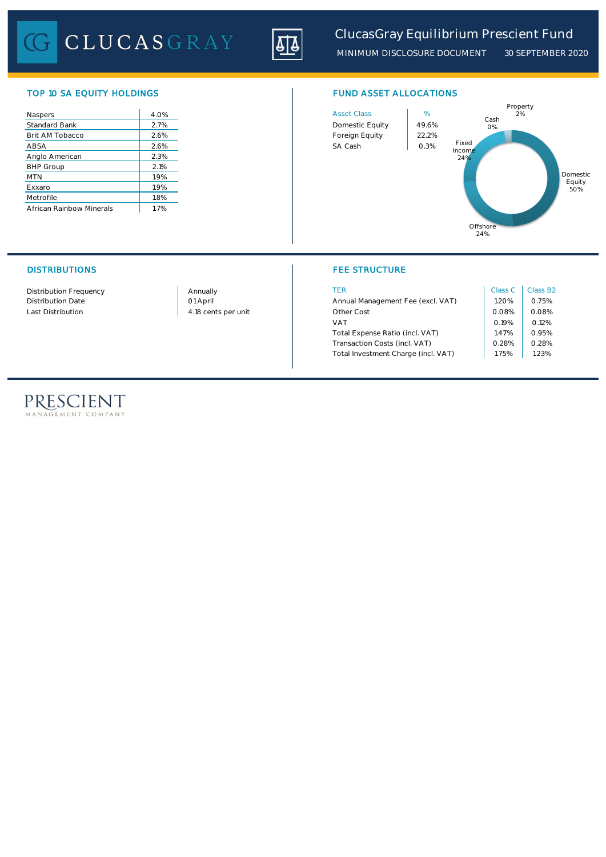CLUCASGRAY



*MINIMUM DISCLOSURE DOCUMENT 30 SEPTEMBER 2020*

## TOP 10 SA EQUITY HOLDINGS FUND ASSET ALLOCATIONS

| Naspers                  | 4.0% | <b>Asset Class</b> | %     |
|--------------------------|------|--------------------|-------|
| <b>Standard Bank</b>     | 2.7% | Domestic Equity    | 49.69 |
| Brit AM Tobacco          | 2.6% | Foreign Equity     | 22.29 |
| ABSA                     | 2.6% | SA Cash            | 0.3%  |
| Anglo American           | 2.3% |                    |       |
| <b>BHP Group</b>         | 2.1% |                    |       |
| <b>MTN</b>               | 1.9% |                    |       |
| Exxaro                   | 1.9% |                    |       |
| Metrofile                | 1.8% |                    |       |
| African Rainbow Minerals | 1.7% |                    |       |





# DISTRIBUTIONS FEE STRUCTURE

| Distribution Frequency | Annually            | TER                                 | Class C | Class B <sub>2</sub> |
|------------------------|---------------------|-------------------------------------|---------|----------------------|
| Distribution Date      | 01 April            | Annual Management Fee (excl. VAT)   | .20%    | 0.75%                |
| Last Distribution      | 4.18 cents per unit | Other Cost                          | 0.08%   | 0.08%                |
|                        |                     | 0.19%<br><b>VAT</b>                 |         | 0.12%                |
|                        |                     | Total Expense Ratio (incl. VAT)     | 1.47%   | 0.95%                |
|                        |                     | Transaction Costs (incl. VAT)       | 0.28%   | 0.28%                |
|                        |                     | Total Investment Charge (incl. VAT) | i.75%   | 1.23%                |

# PRESCIENT